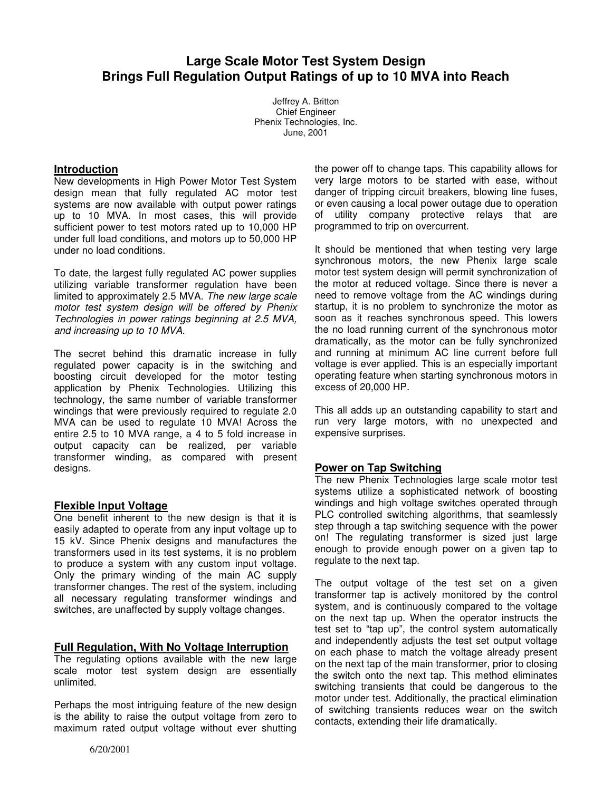# **Large Scale Motor Test System Design Brings Full Regulation Output Ratings of up to 10 MVA into Reach**

Jeffrey A. Britton Chief Engineer Phenix Technologies, Inc. June, 2001

#### **Introduction**

New developments in High Power Motor Test System design mean that fully regulated AC motor test systems are now available with output power ratings up to 10 MVA. In most cases, this will provide sufficient power to test motors rated up to 10,000 HP under full load conditions, and motors up to 50,000 HP under no load conditions.

To date, the largest fully regulated AC power supplies utilizing variable transformer regulation have been limited to approximately 2.5 MVA. The new large scale motor test system design will be offered by Phenix Technologies in power ratings beginning at 2.5 MVA, and increasing up to 10 MVA.

The secret behind this dramatic increase in fully regulated power capacity is in the switching and boosting circuit developed for the motor testing application by Phenix Technologies. Utilizing this technology, the same number of variable transformer windings that were previously required to regulate 2.0 MVA can be used to regulate 10 MVA! Across the entire 2.5 to 10 MVA range, a 4 to 5 fold increase in output capacity can be realized, per variable transformer winding, as compared with present designs.

## **Flexible Input Voltage**

One benefit inherent to the new design is that it is easily adapted to operate from any input voltage up to 15 kV. Since Phenix designs and manufactures the transformers used in its test systems, it is no problem to produce a system with any custom input voltage. Only the primary winding of the main AC supply transformer changes. The rest of the system, including all necessary regulating transformer windings and switches, are unaffected by supply voltage changes.

## **Full Regulation, With No Voltage Interruption**

The regulating options available with the new large scale motor test system design are essentially unlimited.

Perhaps the most intriguing feature of the new design is the ability to raise the output voltage from zero to maximum rated output voltage without ever shutting

the power off to change taps. This capability allows for very large motors to be started with ease, without danger of tripping circuit breakers, blowing line fuses, or even causing a local power outage due to operation of utility company protective relays that are programmed to trip on overcurrent.

It should be mentioned that when testing very large synchronous motors, the new Phenix large scale motor test system design will permit synchronization of the motor at reduced voltage. Since there is never a need to remove voltage from the AC windings during startup, it is no problem to synchronize the motor as soon as it reaches synchronous speed. This lowers the no load running current of the synchronous motor dramatically, as the motor can be fully synchronized and running at minimum AC line current before full voltage is ever applied. This is an especially important operating feature when starting synchronous motors in excess of 20,000 HP.

This all adds up an outstanding capability to start and run very large motors, with no unexpected and expensive surprises.

## **Power on Tap Switching**

The new Phenix Technologies large scale motor test systems utilize a sophisticated network of boosting windings and high voltage switches operated through PLC controlled switching algorithms, that seamlessly step through a tap switching sequence with the power on! The regulating transformer is sized just large enough to provide enough power on a given tap to regulate to the next tap.

The output voltage of the test set on a given transformer tap is actively monitored by the control system, and is continuously compared to the voltage on the next tap up. When the operator instructs the test set to "tap up", the control system automatically and independently adjusts the test set output voltage on each phase to match the voltage already present on the next tap of the main transformer, prior to closing the switch onto the next tap. This method eliminates switching transients that could be dangerous to the motor under test. Additionally, the practical elimination of switching transients reduces wear on the switch contacts, extending their life dramatically.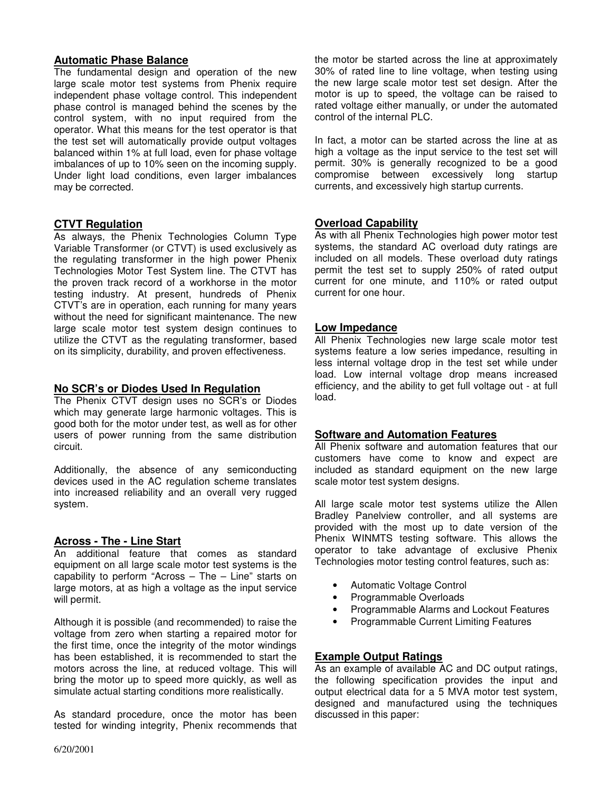## **Automatic Phase Balance**

The fundamental design and operation of the new large scale motor test systems from Phenix require independent phase voltage control. This independent phase control is managed behind the scenes by the control system, with no input required from the operator. What this means for the test operator is that the test set will automatically provide output voltages balanced within 1% at full load, even for phase voltage imbalances of up to 10% seen on the incoming supply. Under light load conditions, even larger imbalances may be corrected.

# **CTVT Regulation**

As always, the Phenix Technologies Column Type Variable Transformer (or CTVT) is used exclusively as the regulating transformer in the high power Phenix Technologies Motor Test System line. The CTVT has the proven track record of a workhorse in the motor testing industry. At present, hundreds of Phenix CTVT's are in operation, each running for many years without the need for significant maintenance. The new large scale motor test system design continues to utilize the CTVT as the regulating transformer, based on its simplicity, durability, and proven effectiveness.

## **No SCR's or Diodes Used In Regulation**

The Phenix CTVT design uses no SCR's or Diodes which may generate large harmonic voltages. This is good both for the motor under test, as well as for other users of power running from the same distribution circuit.

Additionally, the absence of any semiconducting devices used in the AC regulation scheme translates into increased reliability and an overall very rugged system.

## **Across - The - Line Start**

An additional feature that comes as standard equipment on all large scale motor test systems is the capability to perform "Across – The – Line" starts on large motors, at as high a voltage as the input service will permit.

Although it is possible (and recommended) to raise the voltage from zero when starting a repaired motor for the first time, once the integrity of the motor windings has been established, it is recommended to start the motors across the line, at reduced voltage. This will bring the motor up to speed more quickly, as well as simulate actual starting conditions more realistically.

As standard procedure, once the motor has been tested for winding integrity, Phenix recommends that the motor be started across the line at approximately 30% of rated line to line voltage, when testing using the new large scale motor test set design. After the motor is up to speed, the voltage can be raised to rated voltage either manually, or under the automated control of the internal PLC.

In fact, a motor can be started across the line at as high a voltage as the input service to the test set will permit. 30% is generally recognized to be a good compromise between excessively long startup currents, and excessively high startup currents.

# **Overload Capability**

As with all Phenix Technologies high power motor test systems, the standard AC overload duty ratings are included on all models. These overload duty ratings permit the test set to supply 250% of rated output current for one minute, and 110% or rated output current for one hour.

#### **Low Impedance**

All Phenix Technologies new large scale motor test systems feature a low series impedance, resulting in less internal voltage drop in the test set while under load. Low internal voltage drop means increased efficiency, and the ability to get full voltage out - at full load.

## **Software and Automation Features**

All Phenix software and automation features that our customers have come to know and expect are included as standard equipment on the new large scale motor test system designs.

All large scale motor test systems utilize the Allen Bradley Panelview controller, and all systems are provided with the most up to date version of the Phenix WINMTS testing software. This allows the operator to take advantage of exclusive Phenix Technologies motor testing control features, such as:

- Automatic Voltage Control
- Programmable Overloads
- Programmable Alarms and Lockout Features
- Programmable Current Limiting Features

## **Example Output Ratings**

As an example of available AC and DC output ratings, the following specification provides the input and output electrical data for a 5 MVA motor test system, designed and manufactured using the techniques discussed in this paper: